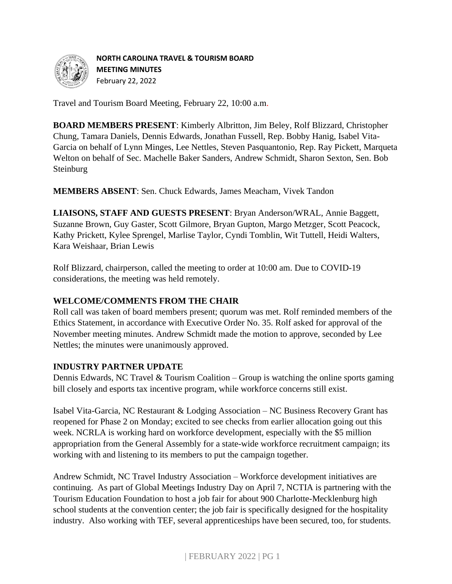

#### **NORTH CAROLINA TRAVEL & TOURISM BOARD**

**MEETING MINUTES**  February 22, 2022

Travel and Tourism Board Meeting, February 22, 10:00 a.m.

**BOARD MEMBERS PRESENT**: Kimberly Albritton, Jim Beley, Rolf Blizzard, Christopher Chung, Tamara Daniels, Dennis Edwards, Jonathan Fussell, Rep. Bobby Hanig, Isabel Vita-Garcia on behalf of Lynn Minges, Lee Nettles, Steven Pasquantonio, Rep. Ray Pickett, Marqueta Welton on behalf of Sec. Machelle Baker Sanders, Andrew Schmidt, Sharon Sexton, Sen. Bob **Steinburg** 

**MEMBERS ABSENT**: Sen. Chuck Edwards, James Meacham, Vivek Tandon

**LIAISONS, STAFF AND GUESTS PRESENT**: Bryan Anderson/WRAL, Annie Baggett, Suzanne Brown, Guy Gaster, Scott Gilmore, Bryan Gupton, Margo Metzger, Scott Peacock, Kathy Prickett, Kylee Sprengel, Marlise Taylor, Cyndi Tomblin, Wit Tuttell, Heidi Walters, Kara Weishaar, Brian Lewis

Rolf Blizzard, chairperson, called the meeting to order at 10:00 am. Due to COVID-19 considerations, the meeting was held remotely.

# **WELCOME/COMMENTS FROM THE CHAIR**

Roll call was taken of board members present; quorum was met. Rolf reminded members of the Ethics Statement, in accordance with Executive Order No. 35. Rolf asked for approval of the November meeting minutes. Andrew Schmidt made the motion to approve, seconded by Lee Nettles; the minutes were unanimously approved.

# **INDUSTRY PARTNER UPDATE**

Dennis Edwards, NC Travel & Tourism Coalition – Group is watching the online sports gaming bill closely and esports tax incentive program, while workforce concerns still exist.

Isabel Vita-Garcia, NC Restaurant & Lodging Association – NC Business Recovery Grant has reopened for Phase 2 on Monday; excited to see checks from earlier allocation going out this week. NCRLA is working hard on workforce development, especially with the \$5 million appropriation from the General Assembly for a state-wide workforce recruitment campaign; its working with and listening to its members to put the campaign together.

Andrew Schmidt, NC Travel Industry Association – Workforce development initiatives are continuing. As part of Global Meetings Industry Day on April 7, NCTIA is partnering with the Tourism Education Foundation to host a job fair for about 900 Charlotte-Mecklenburg high school students at the convention center; the job fair is specifically designed for the hospitality industry. Also working with TEF, several apprenticeships have been secured, too, for students.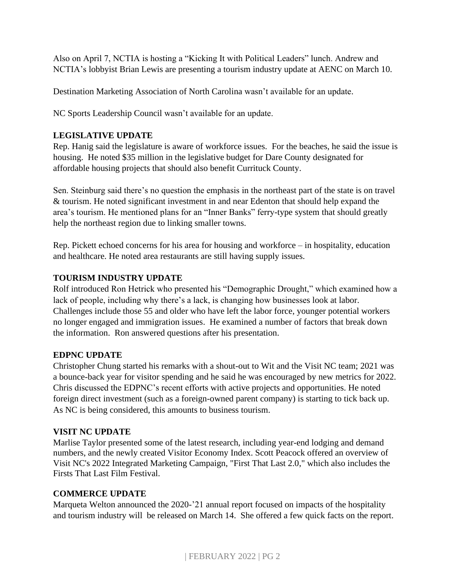Also on April 7, NCTIA is hosting a "Kicking It with Political Leaders" lunch. Andrew and NCTIA's lobbyist Brian Lewis are presenting a tourism industry update at AENC on March 10.

Destination Marketing Association of North Carolina wasn't available for an update.

NC Sports Leadership Council wasn't available for an update.

#### **LEGISLATIVE UPDATE**

Rep. Hanig said the legislature is aware of workforce issues. For the beaches, he said the issue is housing. He noted \$35 million in the legislative budget for Dare County designated for affordable housing projects that should also benefit Currituck County.

Sen. Steinburg said there's no question the emphasis in the northeast part of the state is on travel & tourism. He noted significant investment in and near Edenton that should help expand the area's tourism. He mentioned plans for an "Inner Banks" ferry-type system that should greatly help the northeast region due to linking smaller towns.

Rep. Pickett echoed concerns for his area for housing and workforce – in hospitality, education and healthcare. He noted area restaurants are still having supply issues.

# **TOURISM INDUSTRY UPDATE**

Rolf introduced Ron Hetrick who presented his "Demographic Drought," which examined how a lack of people, including why there's a lack, is changing how businesses look at labor. Challenges include those 55 and older who have left the labor force, younger potential workers no longer engaged and immigration issues. He examined a number of factors that break down the information. Ron answered questions after his presentation.

# **EDPNC UPDATE**

Christopher Chung started his remarks with a shout-out to Wit and the Visit NC team; 2021 was a bounce-back year for visitor spending and he said he was encouraged by new metrics for 2022. Chris discussed the EDPNC's recent efforts with active projects and opportunities. He noted foreign direct investment (such as a foreign-owned parent company) is starting to tick back up. As NC is being considered, this amounts to business tourism.

# **VISIT NC UPDATE**

Marlise Taylor presented some of the latest research, including year-end lodging and demand numbers, and the newly created Visitor Economy Index. Scott Peacock offered an overview of Visit NC's 2022 Integrated Marketing Campaign, "First That Last 2.0," which also includes the Firsts That Last Film Festival.

# **COMMERCE UPDATE**

Marqueta Welton announced the 2020-'21 annual report focused on impacts of the hospitality and tourism industry will be released on March 14. She offered a few quick facts on the report.